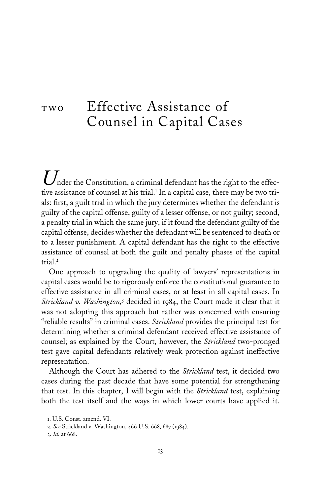# two Effective Assistance of Counsel in Capital Cases

Under the Constitution, a criminal defendant has the right to the effective assistance of counsel at his trial.<sup>1</sup> In a capital case, there may be two trials: first, a guilt trial in which the jury determines whether the defendant is guilty of the capital offense, guilty of a lesser offense, or not guilty; second, a penalty trial in which the same jury, if it found the defendant guilty of the capital offense, decides whether the defendant will be sentenced to death or to a lesser punishment. A capital defendant has the right to the effective assistance of counsel at both the guilt and penalty phases of the capital trial.<sup>2</sup>

One approach to upgrading the quality of lawyers' representations in capital cases would be to rigorously enforce the constitutional guarantee to effective assistance in all criminal cases, or at least in all capital cases. In *Strickland v. Washington,*<sup>3</sup> decided in 1984, the Court made it clear that it was not adopting this approach but rather was concerned with ensuring "reliable results" in criminal cases. *Strickland* provides the principal test for determining whether a criminal defendant received effective assistance of counsel; as explained by the Court, however, the *Strickland* two-pronged test gave capital defendants relatively weak protection against ineffective representation.

Although the Court has adhered to the *Strickland* test, it decided two cases during the past decade that have some potential for strengthening that test. In this chapter, I will begin with the *Strickland* test, explaining both the test itself and the ways in which lower courts have applied it.

<sup>1.</sup> U.S. Const. amend. VI.

<sup>2.</sup> *See* Strickland v. Washington, 466 U.S. 668, 687 (1984).

<sup>3.</sup> *Id.* at 668.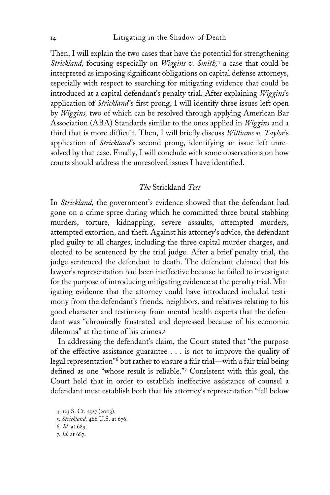Then, I will explain the two cases that have the potential for strengthening *Strickland,* focusing especially on *Wiggins v. Smith,*<sup>4</sup> a case that could be interpreted as imposing significant obligations on capital defense attorneys, especially with respect to searching for mitigating evidence that could be introduced at a capital defendant's penalty trial. After explaining *Wiggins*'s application of *Strickland*'s first prong, I will identify three issues left open by *Wiggins,* two of which can be resolved through applying American Bar Association (ABA) Standards similar to the ones applied in *Wiggins* and a third that is more difficult. Then, I will briefly discuss *Williams v. Taylor's* application of *Strickland*'s second prong, identifying an issue left unresolved by that case. Finally, I will conclude with some observations on how courts should address the unresolved issues I have identified.

## *The* Strickland *Test*

In *Strickland,* the government's evidence showed that the defendant had gone on a crime spree during which he committed three brutal stabbing murders, torture, kidnapping, severe assaults, attempted murders, attempted extortion, and theft. Against his attorney's advice, the defendant pled guilty to all charges, including the three capital murder charges, and elected to be sentenced by the trial judge. After a brief penalty trial, the judge sentenced the defendant to death. The defendant claimed that his lawyer's representation had been ineffective because he failed to investigate for the purpose of introducing mitigating evidence at the penalty trial. Mitigating evidence that the attorney could have introduced included testimony from the defendant's friends, neighbors, and relatives relating to his good character and testimony from mental health experts that the defendant was "chronically frustrated and depressed because of his economic dilemma" at the time of his crimes.5

In addressing the defendant's claim, the Court stated that "the purpose of the effective assistance guarantee . . . is not to improve the quality of legal representation"<sup>6</sup> but rather to ensure a fair trial—with a fair trial being defined as one "whose result is reliable."? Consistent with this goal, the Court held that in order to establish ineffective assistance of counsel a defendant must establish both that his attorney's representation "fell below

<sup>4. 123</sup> S. Ct. 2527 (2003). 5. *Strickland,* 466 U.S. at 676.

<sup>6.</sup> *Id.* at 689.

<sup>7.</sup> *Id.* at 687.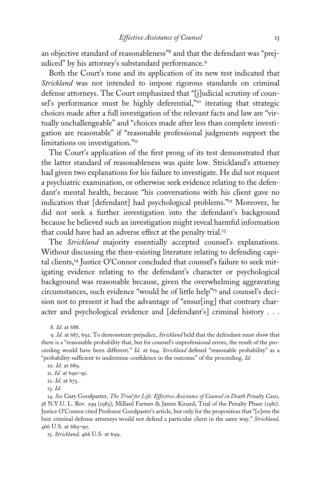an objective standard of reasonableness"8 and that the defendant was "prejudiced" by his attorney's substandard performance.9

Both the Court's tone and its application of its new test indicated that *Strickland* was not intended to impose rigorous standards on criminal defense attorneys. The Court emphasized that "[j]udicial scrutiny of counsel's performance must be highly deferential,"<sup>10</sup> iterating that strategic choices made after a full investigation of the relevant facts and law are "virtually unchallengeable" and "choices made after less than complete investigation are reasonable" if "reasonable professional judgments support the limitations on investigation."<sup>11</sup>

The Court's application of the first prong of its test demonstrated that the latter standard of reasonableness was quite low. Strickland's attorney had given two explanations for his failure to investigate. He did not request a psychiatric examination, or otherwise seek evidence relating to the defendant's mental health, because "his conversations with his client gave no indication that [defendant] had psychological problems."<sup>12</sup> Moreover, he did not seek a further investigation into the defendant's background because he believed such an investigation might reveal harmful information that could have had an adverse effect at the penalty trial.<sup>13</sup>

The *Strickland* majority essentially accepted counsel's explanations. Without discussing the then-existing literature relating to defending capital clients,<sup>14</sup> Justice O'Connor concluded that counsel's failure to seek mitigating evidence relating to the defendant's character or psychological background was reasonable because, given the overwhelming aggravating circumstances, such evidence "would be of little help"15 and counsel's decision not to present it had the advantage of "ensur[ing] that contrary character and psychological evidence and [defendant's] criminal history . . .

8. *Id.* at 688.

9. *Id.* at 687, 692. To demonstrate prejudice, *Strickland* held that the defendant must show that there is a "reasonable probability that, but for counsel's unprofessional errors, the result of the proceeding would have been different." Id. at 694. Strickland defined "reasonable probability" as a "probability sufficient to undermine confidence in the outcome" of the proceeding. *Id.* 

14. *See* Gary Goodpaster, *The Trial for Life: Effective Assistance of Counsel in Death Penalty Cases,* 58 N.Y.U. L. Rev. 299 (1983); Millard Farmer & James Kinard, Trial of the Penalty Phase (1981). Justice O'Connor cited Professor Goodpaster's article, but only for the proposition that "[e]ven the best criminal defense attorneys would not defend a particular client in the same way." *Strickland,* 466 U.S. at 689–90.

15. *Strickland,* 466 U.S. at 699.

<sup>10.</sup> *Id.* at 689.

<sup>11.</sup> *Id.* at 690–91.

<sup>12.</sup> *Id.* at 673.

<sup>13.</sup> *Id.*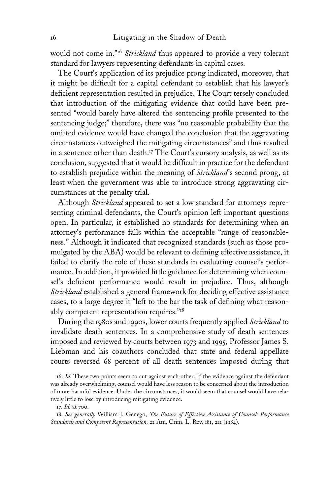would not come in."16 *Strickland* thus appeared to provide a very tolerant standard for lawyers representing defendants in capital cases.

The Court's application of its prejudice prong indicated, moreover, that it might be difficult for a capital defendant to establish that his lawyer's deficient representation resulted in prejudice. The Court tersely concluded that introduction of the mitigating evidence that could have been presented "would barely have altered the sentencing profile presented to the sentencing judge;" therefore, there was "no reasonable probability that the omitted evidence would have changed the conclusion that the aggravating circumstances outweighed the mitigating circumstances" and thus resulted in a sentence other than death.17 The Court's cursory analysis, as well as its conclusion, suggested that it would be difficult in practice for the defendant to establish prejudice within the meaning of *Strickland*'s second prong, at least when the government was able to introduce strong aggravating circumstances at the penalty trial.

Although *Strickland* appeared to set a low standard for attorneys representing criminal defendants, the Court's opinion left important questions open. In particular, it established no standards for determining when an attorney's performance falls within the acceptable "range of reasonableness." Although it indicated that recognized standards (such as those promulgated by the ABA) would be relevant to defining effective assistance, it failed to clarify the role of these standards in evaluating counsel's performance. In addition, it provided little guidance for determining when counsel's deficient performance would result in prejudice. Thus, although *Strickland* established a general framework for deciding effective assistance cases, to a large degree it "left to the bar the task of defining what reasonably competent representation requires."<sup>18</sup>

During the 1980s and 1990s, lower courts frequently applied *Strickland* to invalidate death sentences. In a comprehensive study of death sentences imposed and reviewed by courts between 1973 and 1995, Professor James S. Liebman and his coauthors concluded that state and federal appellate courts reversed 68 percent of all death sentences imposed during that

16. *Id.* These two points seem to cut against each other. If the evidence against the defendant was already overwhelming, counsel would have less reason to be concerned about the introduction of more harmful evidence. Under the circumstances, it would seem that counsel would have relatively little to lose by introducing mitigating evidence.

18. *See generally* William J. Genego, *The Future of Effective Assistance of Counsel: Performance Standards and Competent Representation,* 22 Am. Crim. L. Rev. 181, 212 (1984).

<sup>17.</sup> *Id.* at 700.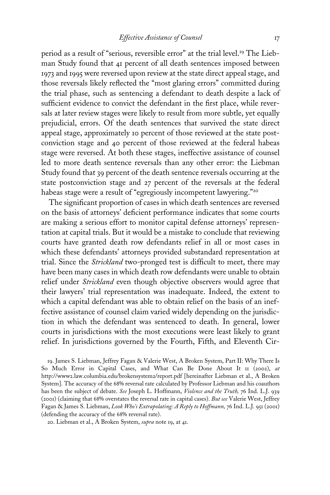period as a result of "serious, reversible error" at the trial level.<sup>19</sup> The Liebman Study found that 41 percent of all death sentences imposed between 1973 and 1995 were reversed upon review at the state direct appeal stage, and those reversals likely reflected the "most glaring errors" committed during the trial phase, such as sentencing a defendant to death despite a lack of sufficient evidence to convict the defendant in the first place, while reversals at later review stages were likely to result from more subtle, yet equally prejudicial, errors. Of the death sentences that survived the state direct appeal stage, approximately 10 percent of those reviewed at the state postconviction stage and 40 percent of those reviewed at the federal habeas stage were reversed. At both these stages, ineffective assistance of counsel led to more death sentence reversals than any other error: the Liebman Study found that 39 percent of the death sentence reversals occurring at the state postconviction stage and 27 percent of the reversals at the federal habeas stage were a result of "egregiously incompetent lawyering."<sup>20</sup>

The significant proportion of cases in which death sentences are reversed on the basis of attorneys' deficient performance indicates that some courts are making a serious effort to monitor capital defense attorneys' representation at capital trials. But it would be a mistake to conclude that reviewing courts have granted death row defendants relief in all or most cases in which these defendants' attorneys provided substandard representation at trial. Since the *Strickland* two-pronged test is difficult to meet, there may have been many cases in which death row defendants were unable to obtain relief under *Strickland* even though objective observers would agree that their lawyers' trial representation was inadequate. Indeed, the extent to which a capital defendant was able to obtain relief on the basis of an ineffective assistance of counsel claim varied widely depending on the jurisdiction in which the defendant was sentenced to death. In general, lower courts in jurisdictions with the most executions were least likely to grant relief. In jurisdictions governed by the Fourth, Fifth, and Eleventh Cir-

19. James S. Liebman, Jeffrey Fagan & Valerie West, A Broken System, Part II: Why There Is So Much Error in Capital Cases, and What Can Be Done About It 11 (2002), *at* http://www2.law.columbia.edu/brokensystem2/report.pdf [hereinafter Liebman et al., A Broken System]. The accuracy of the 68% reversal rate calculated by Professor Liebman and his coauthors has been the subject of debate. *See* Joseph L. Hoffmann, *Violence and the Truth,* 76 Ind. L.J. 939 (2001) (claiming that 68% overstates the reversal rate in capital cases). *But see* Valerie West, Jeffrey Fagan & James S. Liebman, *Look Who's Extrapolating: A Reply to Hoffmann,* 76 Ind. L.J. 951 (2001) (defending the accuracy of the 68% reversal rate).

20. Liebman et al., A Broken System, *supra* note 19, at 41.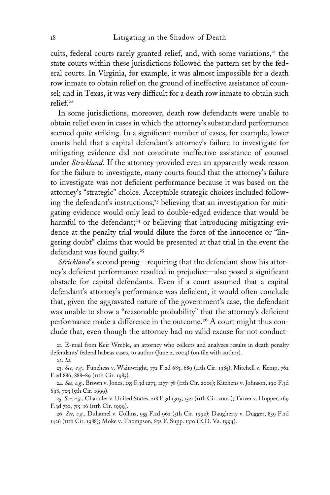cuits, federal courts rarely granted relief, and, with some variations,<sup>21</sup> the state courts within these jurisdictions followed the pattern set by the federal courts. In Virginia, for example, it was almost impossible for a death row inmate to obtain relief on the ground of ineffective assistance of counsel; and in Texas, it was very difficult for a death row inmate to obtain such relief<sup>22</sup>

In some jurisdictions, moreover, death row defendants were unable to obtain relief even in cases in which the attorney's substandard performance seemed quite striking. In a significant number of cases, for example, lower courts held that a capital defendant's attorney's failure to investigate for mitigating evidence did not constitute ineffective assistance of counsel under *Strickland.* If the attorney provided even an apparently weak reason for the failure to investigate, many courts found that the attorney's failure to investigate was not deficient performance because it was based on the attorney's "strategic" choice. Acceptable strategic choices included following the defendant's instructions;<sup>23</sup> believing that an investigation for mitigating evidence would only lead to double-edged evidence that would be harmful to the defendant;<sup>24</sup> or believing that introducing mitigating evidence at the penalty trial would dilute the force of the innocence or "lingering doubt" claims that would be presented at that trial in the event the defendant was found guilty.<sup>25</sup>

*Strickland*'s second prong—requiring that the defendant show his attorney's deficient performance resulted in prejudice—also posed a significant obstacle for capital defendants. Even if a court assumed that a capital defendant's attorney's performance was deficient, it would often conclude that, given the aggravated nature of the government's case, the defendant was unable to show a "reasonable probability" that the attorney's deficient performance made a difference in the outcome.<sup>26</sup> A court might thus conclude that, even though the attorney had no valid excuse for not conduct-

21. E-mail from Keir Wreble, an attorney who collects and analyzes results in death penalty defendants' federal habeas cases, to author (June 2, 2004) (on file with author).

23. *See, e.g.,* Funchess v. Wainwright, 772 F.2d 683, 689 (11th Cir. 1985); Mitchell v. Kemp, 762 F.2d 886, 888–89 (11th Cir. 1985).

24. *See, e.g.,* Brown v. Jones, 255 F.3d 1273, 1277–78 (11th Cir. 2001); Kitchens v. Johnson, 190 F.3d 698, 703 (5th Cir. 1999).

25. *See, e.g.,* Chandler v. United States, 218 F.3d 1305, 1321 (11th Cir. 2000); Tarver v. Hopper, 169 F.3d 710, 715–16 (11th Cir. 1999).

26. *See, e.g.,* Duhamel v. Collins, 955 F.2d 962 (5th Cir. 1992); Daugherty v. Dugger, 839 F.2d 1426 (11th Cir. 1988); Moke v. Thompson, 852 F. Supp. 1310 (E.D. Va. 1994).

<sup>22.</sup> *Id.*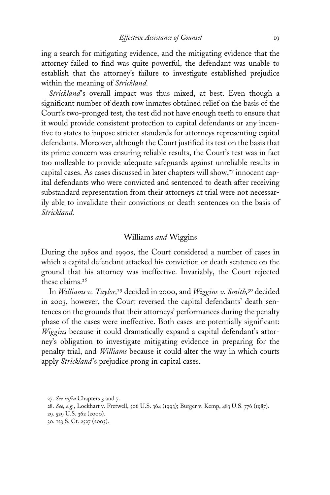ing a search for mitigating evidence, and the mitigating evidence that the attorney failed to find was quite powerful, the defendant was unable to establish that the attorney's failure to investigate established prejudice within the meaning of *Strickland.*

*Strickland*'s overall impact was thus mixed, at best. Even though a significant number of death row inmates obtained relief on the basis of the Court's two-pronged test, the test did not have enough teeth to ensure that it would provide consistent protection to capital defendants or any incentive to states to impose stricter standards for attorneys representing capital defendants. Moreover, although the Court justified its test on the basis that its prime concern was ensuring reliable results, the Court's test was in fact too malleable to provide adequate safeguards against unreliable results in capital cases. As cases discussed in later chapters will show,<sup>27</sup> innocent capital defendants who were convicted and sentenced to death after receiving substandard representation from their attorneys at trial were not necessarily able to invalidate their convictions or death sentences on the basis of *Strickland.*

#### Williams *and* Wiggins

During the 1980s and 1990s, the Court considered a number of cases in which a capital defendant attacked his conviction or death sentence on the ground that his attorney was ineffective. Invariably, the Court rejected these claims.28

In *Williams v. Taylor,*<sup>29</sup> decided in 2000, and *Wiggins v. Smith,*<sup>30</sup> decided in 2003, however, the Court reversed the capital defendants' death sentences on the grounds that their attorneys' performances during the penalty phase of the cases were ineffective. Both cases are potentially significant: *Wiggins* because it could dramatically expand a capital defendant's attorney's obligation to investigate mitigating evidence in preparing for the penalty trial, and *Williams* because it could alter the way in which courts apply *Strickland*'s prejudice prong in capital cases.

<sup>27.</sup> *See infra* Chapters 3 and 7.

<sup>28.</sup> *See, e.g.,* Lockhart v. Fretwell, 506 U.S. 364 (1993); Burger v. Kemp, 483 U.S. 776 (1987).

<sup>29. 529</sup> U.S. 362 (2000).

<sup>30. 123</sup> S. Ct. 2527 (2003).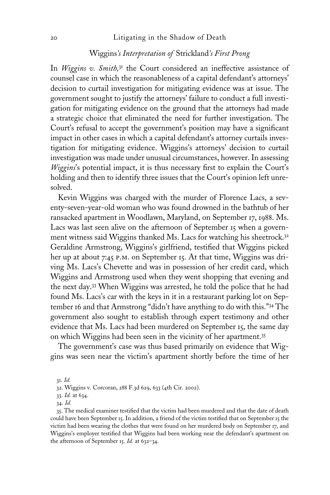#### 20 Litigating in the Shadow of Death

## Wiggins*'s Interpretation of* Strickland*'s First Prong*

In *Wiggins v. Smith,*<sup>31</sup> the Court considered an ineffective assistance of counsel case in which the reasonableness of a capital defendant's attorneys' decision to curtail investigation for mitigating evidence was at issue. The government sought to justify the attorneys' failure to conduct a full investigation for mitigating evidence on the ground that the attorneys had made a strategic choice that eliminated the need for further investigation. The Court's refusal to accept the government's position may have a significant impact in other cases in which a capital defendant's attorney curtails investigation for mitigating evidence. Wiggins's attorneys' decision to curtail investigation was made under unusual circumstances, however. In assessing *Wiggins*'s potential impact, it is thus necessary first to explain the Court's holding and then to identify three issues that the Court's opinion left unresolved.

Kevin Wiggins was charged with the murder of Florence Lacs, a seventy-seven-year-old woman who was found drowned in the bathtub of her ransacked apartment in Woodlawn, Maryland, on September 17, 1988. Ms. Lacs was last seen alive on the afternoon of September 15 when a government witness said Wiggins thanked Ms. Lacs for watching his sheetrock.<sup>32</sup> Geraldine Armstrong, Wiggins's girlfriend, testified that Wiggins picked her up at about 7:45 P.M. on September 15. At that time, Wiggins was driving Ms. Lacs's Chevette and was in possession of her credit card, which Wiggins and Armstrong used when they went shopping that evening and the next day.33 When Wiggins was arrested, he told the police that he had found Ms. Lacs's car with the keys in it in a restaurant parking lot on September 16 and that Armstrong "didn't have anything to do with this."34 The government also sought to establish through expert testimony and other evidence that Ms. Lacs had been murdered on September 15, the same day on which Wiggins had been seen in the vicinity of her apartment.35

The government's case was thus based primarily on evidence that Wiggins was seen near the victim's apartment shortly before the time of her

<sup>31.</sup> *Id.*

<sup>32.</sup> Wiggins v. Corcoran, 288 F.3d 629, 633 (4th Cir. 2002).

<sup>33.</sup> *Id.* at 634.

<sup>34.</sup> *Id.*

<sup>35.</sup> The medical examiner testified that the victim had been murdered and that the date of death could have been September 15. In addition, a friend of the victim testified that on September 15 the victim had been wearing the clothes that were found on her murdered body on September 17, and Wiggins's employer testified that Wiggins had been working near the defendant's apartment on the afternoon of September 15. *Id.* at 632-34.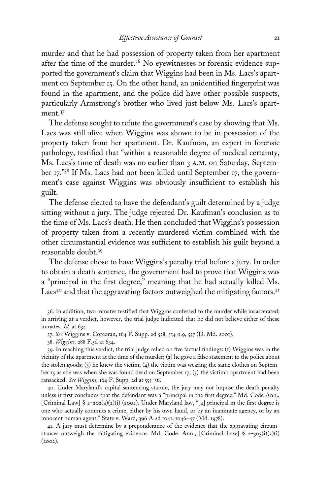murder and that he had possession of property taken from her apartment after the time of the murder.<sup>36</sup> No eyewitnesses or forensic evidence supported the government's claim that Wiggins had been in Ms. Lacs's apartment on September 15. On the other hand, an unidentified fingerprint was found in the apartment, and the police did have other possible suspects, particularly Armstrong's brother who lived just below Ms. Lacs's apartment.37

The defense sought to refute the government's case by showing that Ms. Lacs was still alive when Wiggins was shown to be in possession of the property taken from her apartment. Dr. Kaufman, an expert in forensic pathology, testified that "within a reasonable degree of medical certainty, Ms. Lacs's time of death was no earlier than 3 A.M. on Saturday, September 17."38 If Ms. Lacs had not been killed until September 17, the government's case against Wiggins was obviously insufficient to establish his guilt.

The defense elected to have the defendant's guilt determined by a judge sitting without a jury. The judge rejected Dr. Kaufman's conclusion as to the time of Ms. Lacs's death. He then concluded that Wiggins's possession of property taken from a recently murdered victim combined with the other circumstantial evidence was sufficient to establish his guilt beyond a reasonable doubt.39

The defense chose to have Wiggins's penalty trial before a jury. In order to obtain a death sentence, the government had to prove that Wiggins was a "principal in the first degree," meaning that he had actually killed Ms. Lacs<sup>40</sup> and that the aggravating factors outweighed the mitigating factors.<sup>41</sup>

36. In addition, two inmates testified that Wiggins confessed to the murder while incarcerated; in arriving at a verdict, however, the trial judge indicated that he did not believe either of these inmates. *Id.* at 634.

37. *See* Wiggins v. Corcoran, 164 F. Supp. 2d 538, 554 n.9, 557 (D. Md. 2001).

38. *Wiggins,* 288 F.3d at 634.

 $39.$  In reaching this verdict, the trial judge relied on five factual findings: (1) Wiggins was in the vicinity of the apartment at the time of the murder; (2) he gave a false statement to the police about the stolen goods;  $(3)$  he knew the victim;  $(4)$  the victim was wearing the same clothes on September 15 as she was when she was found dead on September 17;  $\zeta$  the victim's apartment had been ransacked. *See Wiggins,* 164 F. Supp. 2d at 555–56.

40. Under Maryland's capital sentencing statute, the jury may not impose the death penalty unless it first concludes that the defendant was a "principal in the first degree." Md. Code Ann., [Criminal Law] §  $2-202(a)(2)(i)$  (2002). Under Maryland law, "[a] principal in the first degree is one who actually commits a crime, either by his own hand, or by an inanimate agency, or by an innocent human agent." State v. Ward, 396 A.2d 1041, 1046–47 (Md. 1978).

41. A jury must determine by a preponderance of the evidence that the aggravating circumstances outweigh the mitigating evidence. Md. Code. Ann., [Criminal Law]  $\frac{1}{2}$  2–303(i)(2)(i)  $(2002)$ .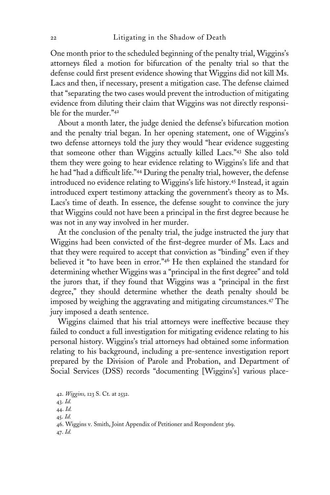One month prior to the scheduled beginning of the penalty trial, Wiggins's attorneys filed a motion for bifurcation of the penalty trial so that the defense could first present evidence showing that Wiggins did not kill Ms. Lacs and then, if necessary, present a mitigation case. The defense claimed that "separating the two cases would prevent the introduction of mitigating evidence from diluting their claim that Wiggins was not directly responsible for the murder."<sup>42</sup>

About a month later, the judge denied the defense's bifurcation motion and the penalty trial began. In her opening statement, one of Wiggins's two defense attorneys told the jury they would "hear evidence suggesting that someone other than Wiggins actually killed Lacs."43 She also told them they were going to hear evidence relating to Wiggins's life and that he had "had a difficult life."<sup>44</sup> During the penalty trial, however, the defense introduced no evidence relating to Wiggins's life history.45 Instead, it again introduced expert testimony attacking the government's theory as to Ms. Lacs's time of death. In essence, the defense sought to convince the jury that Wiggins could not have been a principal in the first degree because he was not in any way involved in her murder.

At the conclusion of the penalty trial, the judge instructed the jury that Wiggins had been convicted of the first-degree murder of Ms. Lacs and that they were required to accept that conviction as "binding" even if they believed it "to have been in error."46 He then explained the standard for determining whether Wiggins was a "principal in the first degree" and told the jurors that, if they found that Wiggins was a "principal in the first degree," they should determine whether the death penalty should be imposed by weighing the aggravating and mitigating circumstances.47 The jury imposed a death sentence.

Wiggins claimed that his trial attorneys were ineffective because they failed to conduct a full investigation for mitigating evidence relating to his personal history. Wiggins's trial attorneys had obtained some information relating to his background, including a pre-sentence investigation report prepared by the Division of Parole and Probation, and Department of Social Services (DSS) records "documenting [Wiggins's] various place-

<sup>42.</sup> *Wiggins,* 123 S. Ct. at 2532.

<sup>43.</sup> *Id.*

<sup>44.</sup> *Id.*

<sup>45.</sup> *Id.*

<sup>46.</sup> Wiggins v. Smith, Joint Appendix of Petitioner and Respondent 369.

<sup>47.</sup> *Id.*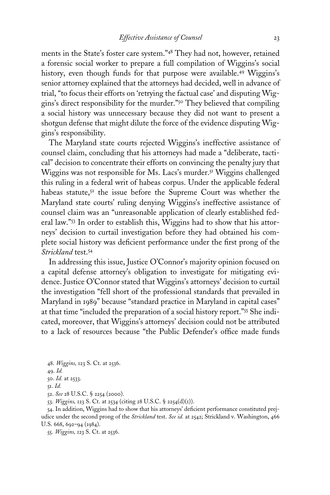ments in the State's foster care system."48 They had not, however, retained a forensic social worker to prepare a full compilation of Wiggins's social history, even though funds for that purpose were available.<sup>49</sup> Wiggins's senior attorney explained that the attorneys had decided, well in advance of trial, "to focus their efforts on 'retrying the factual case' and disputing Wiggins's direct responsibility for the murder."50 They believed that compiling a social history was unnecessary because they did not want to present a shotgun defense that might dilute the force of the evidence disputing Wiggins's responsibility.

The Maryland state courts rejected Wiggins's ineffective assistance of counsel claim, concluding that his attorneys had made a "deliberate, tactical" decision to concentrate their efforts on convincing the penalty jury that Wiggins was not responsible for Ms. Lacs's murder.51 Wiggins challenged this ruling in a federal writ of habeas corpus. Under the applicable federal habeas statute,<sup>52</sup> the issue before the Supreme Court was whether the Maryland state courts' ruling denying Wiggins's ineffective assistance of counsel claim was an "unreasonable application of clearly established federal law."<sup>53</sup> In order to establish this, Wiggins had to show that his attorneys' decision to curtail investigation before they had obtained his complete social history was deficient performance under the first prong of the *Strickland* test.<sup>54</sup>

In addressing this issue, Justice O'Connor's majority opinion focused on a capital defense attorney's obligation to investigate for mitigating evidence. Justice O'Connor stated that Wiggins's attorneys' decision to curtail the investigation "fell short of the professional standards that prevailed in Maryland in 1989" because "standard practice in Maryland in capital cases" at that time "included the preparation of a social history report."55 She indicated, moreover, that Wiggins's attorneys' decision could not be attributed to a lack of resources because "the Public Defender's office made funds

48. *Wiggins,* 123 S. Ct. at 2536.

52. *See* 28 U.S.C. § 2254 (2000).

53. *Wiggins,* 123 S. Ct. at 2534 (citing 28 U.S.C. § 2254(d)(1)).

 $54.$  In addition, Wiggins had to show that his attorneys' deficient performance constituted prejudice under the second prong of the *Strickland* test. *See id.* at 2542; Strickland v. Washington, 466 U.S. 668, 692–94 (1984).

55. *Wiggins,* 123 S. Ct. at 2536.

<sup>49.</sup> *Id.*

<sup>50.</sup> *Id.* at 2533.

<sup>51.</sup> *Id.*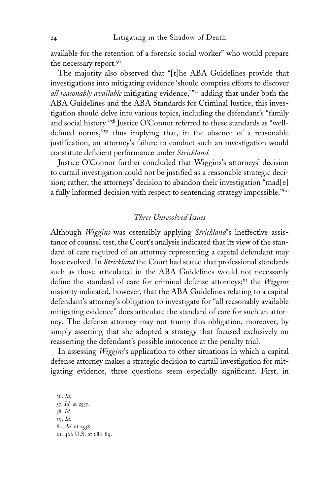available for the retention of a forensic social worker" who would prepare the necessary report.<sup>56</sup>

The majority also observed that "[t]he ABA Guidelines provide that investigations into mitigating evidence 'should comprise efforts to discover *all reasonably available* mitigating evidence,'"57 adding that under both the ABA Guidelines and the ABA Standards for Criminal Justice, this investigation should delve into various topics, including the defendant's "family and social history."58 Justice O'Connor referred to these standards as "welldefined norms," $59$  thus implying that, in the absence of a reasonable justification, an attorney's failure to conduct such an investigation would constitute deficient performance under *Strickland*.

Justice O'Connor further concluded that Wiggins's attorneys' decision to curtail investigation could not be justified as a reasonable strategic decision; rather, the attorneys' decision to abandon their investigation "mad[e] a fully informed decision with respect to sentencing strategy impossible."<sup>60</sup>

## *Three Unresolved Issues*

Although *Wiggins* was ostensibly applying *Strickland*'s ineffective assistance of counsel test, the Court's analysis indicated that its view of the standard of care required of an attorney representing a capital defendant may have evolved. In *Strickland* the Court had stated that professional standards such as those articulated in the ABA Guidelines would not necessarily define the standard of care for criminal defense attorneys;<sup>61</sup> the *Wiggins* majority indicated, however, that the ABA Guidelines relating to a capital defendant's attorney's obligation to investigate for "all reasonably available mitigating evidence" does articulate the standard of care for such an attorney. The defense attorney may not trump this obligation, moreover, by simply asserting that she adopted a strategy that focused exclusively on reasserting the defendant's possible innocence at the penalty trial.

In assessing *Wiggins*'s application to other situations in which a capital defense attorney makes a strategic decision to curtail investigation for mitigating evidence, three questions seem especially significant. First, in

56. *Id.* 57. *Id.* at 2537. 58. *Id.* 59. *Id.* 60. *Id.* at 2538. 61. 466 U.S. at 688–89.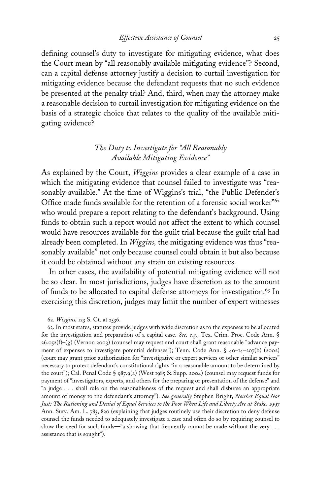defining counsel's duty to investigate for mitigating evidence, what does the Court mean by "all reasonably available mitigating evidence"? Second, can a capital defense attorney justify a decision to curtail investigation for mitigating evidence because the defendant requests that no such evidence be presented at the penalty trial? And, third, when may the attorney make a reasonable decision to curtail investigation for mitigating evidence on the basis of a strategic choice that relates to the quality of the available mitigating evidence?

## *The Duty to Investigate for "All Reasonably Available Mitigating Evidence"*

As explained by the Court, *Wiggins* provides a clear example of a case in which the mitigating evidence that counsel failed to investigate was "reasonably available." At the time of Wiggins's trial, "the Public Defender's Office made funds available for the retention of a forensic social worker"<sup>62</sup> who would prepare a report relating to the defendant's background. Using funds to obtain such a report would not affect the extent to which counsel would have resources available for the guilt trial because the guilt trial had already been completed. In *Wiggins,* the mitigating evidence was thus "reasonably available" not only because counsel could obtain it but also because it could be obtained without any strain on existing resources.

In other cases, the availability of potential mitigating evidence will not be so clear. In most jurisdictions, judges have discretion as to the amount of funds to be allocated to capital defense attorneys for investigation.<sup>63</sup> In exercising this discretion, judges may limit the number of expert witnesses

62. *Wiggins,* 123 S. Ct. at 2536.

63. In most states, statutes provide judges with wide discretion as to the expenses to be allocated for the investigation and preparation of a capital case. *See, e.g.,* Tex. Crim. Proc. Code Ann. § 26.052(f)–(g) (Vernon 2003) (counsel may request and court shall grant reasonable "advance payment of expenses to investigate potential defenses"); Tenn. Code Ann. § 40–14–207(b) (2002) (court may grant prior authorization for "investigative or expert services or other similar services" necessary to protect defendant's constitutional rights "in a reasonable amount to be determined by the court"); Cal. Penal Code § 987.9(a) (West 1985 & Supp. 2004) (counsel may request funds for payment of "investigators, experts, and others for the preparing or presentation of the defense" and "a judge . . . shall rule on the reasonableness of the request and shall disburse an appropriate amount of money to the defendant's attorney"). *See generally* Stephen Bright, *Neither Equal Nor Just: The Rationing and Denial of Equal Services to the Poor When Life and Liberty Are at Stake,* 1997 Ann. Surv. Am. L. 783, 820 (explaining that judges routinely use their discretion to deny defense counsel the funds needed to adequately investigate a case and often do so by requiring counsel to show the need for such funds—"a showing that frequently cannot be made without the very . . . assistance that is sought").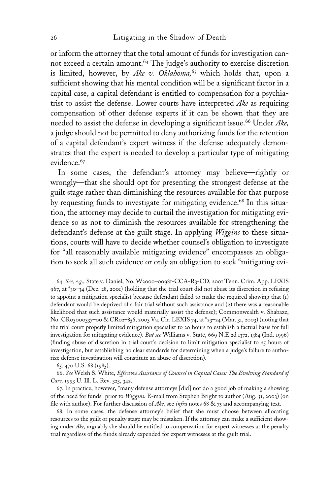or inform the attorney that the total amount of funds for investigation cannot exceed a certain amount.<sup>64</sup> The judge's authority to exercise discretion is limited, however, by *Ake v. Oklahoma*,<sup>65</sup> which holds that, upon a sufficient showing that his mental condition will be a significant factor in a capital case, a capital defendant is entitled to compensation for a psychiatrist to assist the defense. Lower courts have interpreted *Ake* as requiring compensation of other defense experts if it can be shown that they are needed to assist the defense in developing a significant issue.<sup>66</sup> Under *Ake*, a judge should not be permitted to deny authorizing funds for the retention of a capital defendant's expert witness if the defense adequately demonstrates that the expert is needed to develop a particular type of mitigating evidence.<sup>67</sup>

In some cases, the defendant's attorney may believe—rightly or wrongly—that she should opt for presenting the strongest defense at the guilt stage rather than diminishing the resources available for that purpose by requesting funds to investigate for mitigating evidence.<sup>68</sup> In this situation, the attorney may decide to curtail the investigation for mitigating evidence so as not to diminish the resources available for strengthening the defendant's defense at the guilt stage. In applying *Wiggins* to these situations, courts will have to decide whether counsel's obligation to investigate for "all reasonably available mitigating evidence" encompasses an obligation to seek all such evidence or only an obligation to seek "mitigating evi-

64. *See, e.g.,* State v. Daniel, No. W2000–00981-CCA-R3-CD, 2001 Tenn. Crim. App. LEXIS 967, at \*30–34 (Dec. 28, 2001) (holding that the trial court did not abuse its discretion in refusing to appoint a mitigation specialist because defendant failed to make the required showing that (1) defendant would be deprived of a fair trial without such assistance and (2) there was a reasonable likelihood that such assistance would materially assist the defense); Commonwealth v. Shabazz, No. CR03000337–00 & CR02–856, 2003 Va. Cir. LEXIS 74, at \*23–24 (Mar. 31, 2003) (noting that the trial court properly limited mitigation specialist to 20 hours to establish a factual basis for full investigation for mitigating evidence). *But see* Williams v. State, 669 N.E.2d 1372, 1384 (Ind. 1996) (finding abuse of discretion in trial court's decision to limit mitigation specialist to 25 hours of investigation, but establishing no clear standards for determining when a judge's failure to authorize defense investigation will constitute an abuse of discretion).

65. 470 U.S. 68 (1985).

66. *See* Welsh S. White, *Effective Assistance of Counsel in Capital Cases: The Evolving Standard of Care,* 1993 U. Ill. L. Rev. 323, 342.

67. In practice, however, "many defense attorneys [did] not do a good job of making a showing of the need for funds" prior to *Wiggins.* E-mail from Stephen Bright to author (Aug. 31, 2003) (on file with author). For further discussion of *Ake*, see *infra* notes 68 & 75 and accompanying text.

68. In some cases, the defense attorney's belief that she must choose between allocating resources to the guilt or penalty stage may be mistaken. If the attorney can make a sufficient showing under *Ake,* arguably she should be entitled to compensation for expert witnesses at the penalty trial regardless of the funds already expended for expert witnesses at the guilt trial.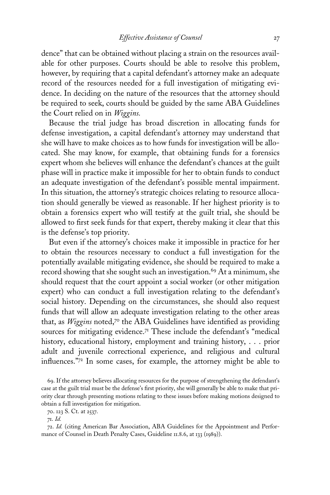dence" that can be obtained without placing a strain on the resources available for other purposes. Courts should be able to resolve this problem, however, by requiring that a capital defendant's attorney make an adequate record of the resources needed for a full investigation of mitigating evidence. In deciding on the nature of the resources that the attorney should be required to seek, courts should be guided by the same ABA Guidelines the Court relied on in *Wiggins.*

Because the trial judge has broad discretion in allocating funds for defense investigation, a capital defendant's attorney may understand that she will have to make choices as to how funds for investigation will be allocated. She may know, for example, that obtaining funds for a forensics expert whom she believes will enhance the defendant's chances at the guilt phase will in practice make it impossible for her to obtain funds to conduct an adequate investigation of the defendant's possible mental impairment. In this situation, the attorney's strategic choices relating to resource allocation should generally be viewed as reasonable. If her highest priority is to obtain a forensics expert who will testify at the guilt trial, she should be allowed to first seek funds for that expert, thereby making it clear that this is the defense's top priority.

But even if the attorney's choices make it impossible in practice for her to obtain the resources necessary to conduct a full investigation for the potentially available mitigating evidence, she should be required to make a record showing that she sought such an investigation.<sup>69</sup> At a minimum, she should request that the court appoint a social worker (or other mitigation expert) who can conduct a full investigation relating to the defendant's social history. Depending on the circumstances, she should also request funds that will allow an adequate investigation relating to the other areas that, as *Wiggins* noted,<sup>70</sup> the ABA Guidelines have identified as providing sources for mitigating evidence.<sup>71</sup> These include the defendant's "medical history, educational history, employment and training history, . . . prior adult and juvenile correctional experience, and religious and cultural influences."72 In some cases, for example, the attorney might be able to

<sup>69.</sup> If the attorney believes allocating resources for the purpose of strengthening the defendant's case at the guilt trial must be the defense's first priority, she will generally be able to make that priority clear through presenting motions relating to these issues before making motions designed to obtain a full investigation for mitigation.

<sup>70. 123</sup> S. Ct. at 2537.

<sup>71.</sup> *Id.*

<sup>72.</sup> *Id.* (citing American Bar Association, ABA Guidelines for the Appointment and Performance of Counsel in Death Penalty Cases, Guideline 11.8.6, at 133 (1989)).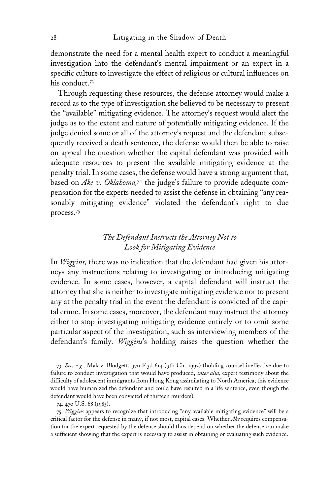demonstrate the need for a mental health expert to conduct a meaningful investigation into the defendant's mental impairment or an expert in a specific culture to investigate the effect of religious or cultural influences on his conduct.73

Through requesting these resources, the defense attorney would make a record as to the type of investigation she believed to be necessary to present the "available" mitigating evidence. The attorney's request would alert the judge as to the extent and nature of potentially mitigating evidence. If the judge denied some or all of the attorney's request and the defendant subsequently received a death sentence, the defense would then be able to raise on appeal the question whether the capital defendant was provided with adequate resources to present the available mitigating evidence at the penalty trial. In some cases, the defense would have a strong argument that, based on *Ake v. Oklahoma,*<sup>74</sup> the judge's failure to provide adequate compensation for the experts needed to assist the defense in obtaining "any reasonably mitigating evidence" violated the defendant's right to due process.75

# *The Defendant Instructs the Attorney Not to Look for Mitigating Evidence*

In *Wiggins,* there was no indication that the defendant had given his attorneys any instructions relating to investigating or introducing mitigating evidence. In some cases, however, a capital defendant will instruct the attorney that she is neither to investigate mitigating evidence nor to present any at the penalty trial in the event the defendant is convicted of the capital crime. In some cases, moreover, the defendant may instruct the attorney either to stop investigating mitigating evidence entirely or to omit some particular aspect of the investigation, such as interviewing members of the defendant's family. *Wiggins*'s holding raises the question whether the

<sup>73.</sup> *See, e.g.,* Mak v. Blodgett, 970 F.3d 614 (9th Cir. 1992) (holding counsel ineffective due to failure to conduct investigation that would have produced, *inter alia,* expert testimony about the difficulty of adolescent immigrants from Hong Kong assimilating to North America; this evidence would have humanized the defendant and could have resulted in a life sentence, even though the defendant would have been convicted of thirteen murders).

<sup>74. 470</sup> U.S. 68 (1985).

<sup>75.</sup> *Wiggins* appears to recognize that introducing "any available mitigating evidence" will be a critical factor for the defense in many, if not most, capital cases. Whether *Ake* requires compensation for the expert requested by the defense should thus depend on whether the defense can make a sufficient showing that the expert is necessary to assist in obtaining or evaluating such evidence.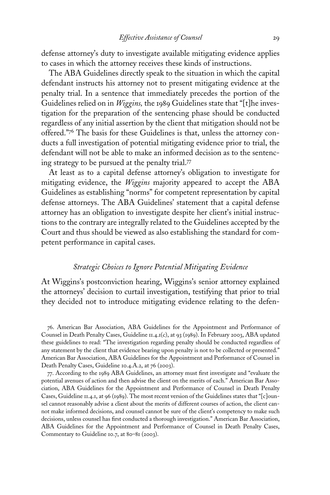defense attorney's duty to investigate available mitigating evidence applies to cases in which the attorney receives these kinds of instructions.

The ABA Guidelines directly speak to the situation in which the capital defendant instructs his attorney not to present mitigating evidence at the penalty trial. In a sentence that immediately precedes the portion of the Guidelines relied on in *Wiggins,* the 1989 Guidelines state that "[t]he investigation for the preparation of the sentencing phase should be conducted regardless of any initial assertion by the client that mitigation should not be offered."<sup>76</sup> The basis for these Guidelines is that, unless the attorney conducts a full investigation of potential mitigating evidence prior to trial, the defendant will not be able to make an informed decision as to the sentencing strategy to be pursued at the penalty trial.77

At least as to a capital defense attorney's obligation to investigate for mitigating evidence, the *Wiggins* majority appeared to accept the ABA Guidelines as establishing "norms" for competent representation by capital defense attorneys. The ABA Guidelines' statement that a capital defense attorney has an obligation to investigate despite her client's initial instructions to the contrary are integrally related to the Guidelines accepted by the Court and thus should be viewed as also establishing the standard for competent performance in capital cases.

#### *Strategic Choices to Ignore Potential Mitigating Evidence*

At Wiggins's postconviction hearing, Wiggins's senior attorney explained the attorneys' decision to curtail investigation, testifying that prior to trial they decided not to introduce mitigating evidence relating to the defen-

76. American Bar Association, ABA Guidelines for the Appointment and Performance of Counsel in Death Penalty Cases, Guideline 11.4.1(c), at 93 (1989). In February 2003, ABA updated these guidelines to read: "The investigation regarding penalty should be conducted regardless of any statement by the client that evidence bearing upon penalty is not to be collected or presented." American Bar Association, ABA Guidelines for the Appointment and Performance of Counsel in Death Penalty Cases, Guideline 10.4.A.2, at 76 (2003).

77. According to the 1989 ABA Guidelines, an attorney must first investigate and "evaluate the potential avenues of action and then advise the client on the merits of each." American Bar Association, ABA Guidelines for the Appointment and Performance of Counsel in Death Penalty Cases, Guideline 11.4.1, at 96 (1989). The most recent version of the Guidelines states that "[c]ounsel cannot reasonably advise a client about the merits of different courses of action, the client cannot make informed decisions, and counsel cannot be sure of the client's competency to make such decisions, unless counsel has first conducted a thorough investigation." American Bar Association, ABA Guidelines for the Appointment and Performance of Counsel in Death Penalty Cases, Commentary to Guideline 10.7, at 80–81 (2003).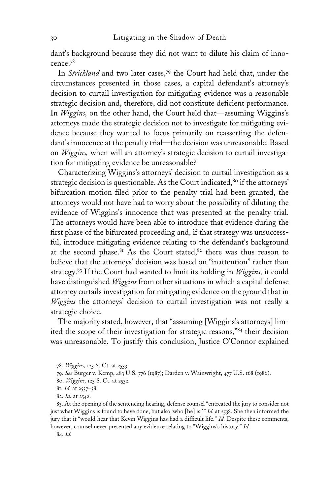dant's background because they did not want to dilute his claim of innocence.<sup>78</sup>

In *Strickland* and two later cases,<sup>79</sup> the Court had held that, under the circumstances presented in those cases, a capital defendant's attorney's decision to curtail investigation for mitigating evidence was a reasonable strategic decision and, therefore, did not constitute deficient performance. In *Wiggins,* on the other hand, the Court held that—assuming Wiggins's attorneys made the strategic decision not to investigate for mitigating evidence because they wanted to focus primarily on reasserting the defendant's innocence at the penalty trial—the decision was unreasonable. Based on *Wiggins,* when will an attorney's strategic decision to curtail investigation for mitigating evidence be unreasonable?

Characterizing Wiggins's attorneys' decision to curtail investigation as a strategic decision is questionable. As the Court indicated,<sup>80</sup> if the attorneys' bifurcation motion filed prior to the penalty trial had been granted, the attorneys would not have had to worry about the possibility of diluting the evidence of Wiggins's innocence that was presented at the penalty trial. The attorneys would have been able to introduce that evidence during the first phase of the bifurcated proceeding and, if that strategy was unsuccessful, introduce mitigating evidence relating to the defendant's background at the second phase.<sup>81</sup> As the Court stated,<sup>82</sup> there was thus reason to believe that the attorneys' decision was based on "inattention" rather than strategy.<sup>83</sup> If the Court had wanted to limit its holding in *Wiggins,* it could have distinguished *Wiggins* from other situations in which a capital defense attorney curtails investigation for mitigating evidence on the ground that in *Wiggins* the attorneys' decision to curtail investigation was not really a strategic choice.

The majority stated, however, that "assuming [Wiggins's attorneys] limited the scope of their investigation for strategic reasons,"84 their decision was unreasonable. To justify this conclusion, Justice O'Connor explained

83. At the opening of the sentencing hearing, defense counsel "entreated the jury to consider not just what Wiggins is found to have done, but also 'who [he] is.'" *Id.* at 2538. She then informed the jury that it "would hear that Kevin Wiggins has had a difficult life." *Id.* Despite these comments, however, counsel never presented any evidence relating to "Wiggins's history." *Id.*

84. *Id.*

<sup>78.</sup> *Wiggins,* 123 S. Ct. at 2533.

<sup>79.</sup> *See* Burger v. Kemp, 483 U.S. 776 (1987); Darden v. Wainwright, 477 U.S. 168 (1986).

<sup>80.</sup> *Wiggins,* 123 S. Ct. at 2532.

<sup>81.</sup> *Id.* at 2537–38.

<sup>82.</sup> *Id.* at 2542.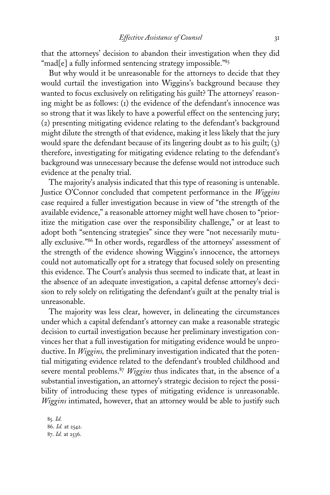that the attorneys' decision to abandon their investigation when they did "mad[e] a fully informed sentencing strategy impossible."85

But why would it be unreasonable for the attorneys to decide that they would curtail the investigation into Wiggins's background because they wanted to focus exclusively on relitigating his guilt? The attorneys' reasoning might be as follows: (1) the evidence of the defendant's innocence was so strong that it was likely to have a powerful effect on the sentencing jury; (2) presenting mitigating evidence relating to the defendant's background might dilute the strength of that evidence, making it less likely that the jury would spare the defendant because of its lingering doubt as to his guilt; (3) therefore, investigating for mitigating evidence relating to the defendant's background was unnecessary because the defense would not introduce such evidence at the penalty trial.

The majority's analysis indicated that this type of reasoning is untenable. Justice O'Connor concluded that competent performance in the *Wiggins* case required a fuller investigation because in view of "the strength of the available evidence," a reasonable attorney might well have chosen to "prioritize the mitigation case over the responsibility challenge," or at least to adopt both "sentencing strategies" since they were "not necessarily mutually exclusive."86 In other words, regardless of the attorneys' assessment of the strength of the evidence showing Wiggins's innocence, the attorneys could not automatically opt for a strategy that focused solely on presenting this evidence. The Court's analysis thus seemed to indicate that, at least in the absence of an adequate investigation, a capital defense attorney's decision to rely solely on relitigating the defendant's guilt at the penalty trial is unreasonable.

The majority was less clear, however, in delineating the circumstances under which a capital defendant's attorney can make a reasonable strategic decision to curtail investigation because her preliminary investigation convinces her that a full investigation for mitigating evidence would be unproductive. In *Wiggins,* the preliminary investigation indicated that the potential mitigating evidence related to the defendant's troubled childhood and severe mental problems.87 *Wiggins* thus indicates that, in the absence of a substantial investigation, an attorney's strategic decision to reject the possibility of introducing these types of mitigating evidence is unreasonable. *Wiggins* intimated, however, that an attorney would be able to justify such

85. *Id.* 86. *Id.* at 2542. 87. *Id.* at 2536.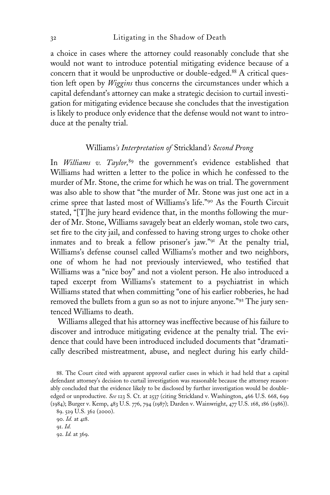a choice in cases where the attorney could reasonably conclude that she would not want to introduce potential mitigating evidence because of a concern that it would be unproductive or double-edged.88 A critical question left open by *Wiggins* thus concerns the circumstances under which a capital defendant's attorney can make a strategic decision to curtail investigation for mitigating evidence because she concludes that the investigation is likely to produce only evidence that the defense would not want to introduce at the penalty trial.

## Williams*'s Interpretation of* Strickland*'s Second Prong*

In *Williams v. Taylor*,<sup>89</sup> the government's evidence established that Williams had written a letter to the police in which he confessed to the murder of Mr. Stone, the crime for which he was on trial. The government was also able to show that "the murder of Mr. Stone was just one act in a crime spree that lasted most of Williams's life."90 As the Fourth Circuit stated, "[T]he jury heard evidence that, in the months following the murder of Mr. Stone, Williams savagely beat an elderly woman, stole two cars, set fire to the city jail, and confessed to having strong urges to choke other inmates and to break a fellow prisoner's jaw."91 At the penalty trial, Williams's defense counsel called Williams's mother and two neighbors, one of whom he had not previously interviewed, who testified that Williams was a "nice boy" and not a violent person. He also introduced a taped excerpt from Williams's statement to a psychiatrist in which Williams stated that when committing "one of his earlier robberies, he had removed the bullets from a gun so as not to injure anyone."<sup>92</sup> The jury sentenced Williams to death.

Williams alleged that his attorney was ineffective because of his failure to discover and introduce mitigating evidence at the penalty trial. The evidence that could have been introduced included documents that "dramatically described mistreatment, abuse, and neglect during his early child-

<sup>88.</sup> The Court cited with apparent approval earlier cases in which it had held that a capital defendant attorney's decision to curtail investigation was reasonable because the attorney reasonably concluded that the evidence likely to be disclosed by further investigation would be doubleedged or unproductive. *See* 123 S. Ct. at 2537 (citing Strickland v. Washington, 466 U.S. 668, 699 (1984); Burger v. Kemp, 483 U.S. 776, 794 (1987); Darden v. Wainwright, 477 U.S. 168, 186 (1986)).

<sup>89. 529</sup> U.S. 362 (2000). 90. *Id.* at 418. 91. *Id.* 92. *Id.* at 369.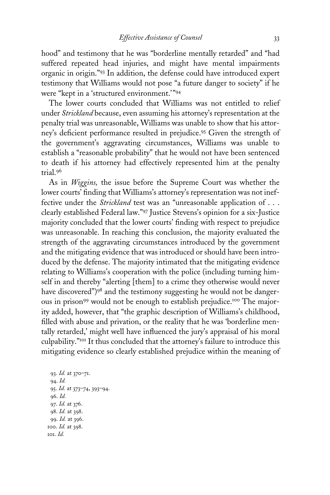hood" and testimony that he was "borderline mentally retarded" and "had suffered repeated head injuries, and might have mental impairments organic in origin."93 In addition, the defense could have introduced expert testimony that Williams would not pose "a future danger to society" if he were "kept in a 'structured environment.'"94

The lower courts concluded that Williams was not entitled to relief under *Strickland* because, even assuming his attorney's representation at the penalty trial was unreasonable, Williams was unable to show that his attorney's deficient performance resulted in prejudice.<sup>95</sup> Given the strength of the government's aggravating circumstances, Williams was unable to establish a "reasonable probability" that he would not have been sentenced to death if his attorney had effectively represented him at the penalty trial.<sup>96</sup>

As in *Wiggins,* the issue before the Supreme Court was whether the lower courts' finding that Williams's attorney's representation was not ineffective under the *Strickland* test was an "unreasonable application of . . . clearly established Federal law."<sup>97</sup> Justice Stevens's opinion for a six-Justice majority concluded that the lower courts' finding with respect to prejudice was unreasonable. In reaching this conclusion, the majority evaluated the strength of the aggravating circumstances introduced by the government and the mitigating evidence that was introduced or should have been introduced by the defense. The majority intimated that the mitigating evidence relating to Williams's cooperation with the police (including turning himself in and thereby "alerting [them] to a crime they otherwise would never have discovered")<sup>98</sup> and the testimony suggesting he would not be dangerous in prison<sup>99</sup> would not be enough to establish prejudice.<sup>100</sup> The majority added, however, that "the graphic description of Williams's childhood, filled with abuse and privation, or the reality that he was 'borderline mentally retarded,' might well have influenced the jury's appraisal of his moral culpability."<sup>101</sup> It thus concluded that the attorney's failure to introduce this mitigating evidence so clearly established prejudice within the meaning of

93. *Id.* at 370–71. 94. *Id.* 95. *Id.* at 373–74, 393–94. 96. *Id.* 97. *Id.* at 376. 98. *Id.* at 398. 99. *Id.* at 396. 100. *Id.* at 398. 101. *Id.*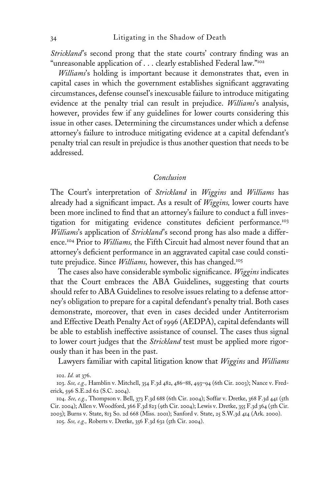*Strickland*'s second prong that the state courts' contrary finding was an "unreasonable application of . . . clearly established Federal law."102

*Williams*'s holding is important because it demonstrates that, even in capital cases in which the government establishes significant aggravating circumstances, defense counsel's inexcusable failure to introduce mitigating evidence at the penalty trial can result in prejudice. *Williams*'s analysis, however, provides few if any guidelines for lower courts considering this issue in other cases. Determining the circumstances under which a defense attorney's failure to introduce mitigating evidence at a capital defendant's penalty trial can result in prejudice is thus another question that needs to be addressed.

## *Conclusion*

The Court's interpretation of *Strickland* in *Wiggins* and *Williams* has already had a significant impact. As a result of *Wiggins*, lower courts have been more inclined to find that an attorney's failure to conduct a full investigation for mitigating evidence constitutes deficient performance.<sup>103</sup> *Williams*'s application of *Strickland*'s second prong has also made a difference.<sup>104</sup> Prior to *Williams,* the Fifth Circuit had almost never found that an attorney's deficient performance in an aggravated capital case could constitute prejudice. Since *Williams*, however, this has changed.<sup>105</sup>

The cases also have considerable symbolic significance. *Wiggins* indicates that the Court embraces the ABA Guidelines, suggesting that courts should refer to ABA Guidelines to resolve issues relating to a defense attorney's obligation to prepare for a capital defendant's penalty trial. Both cases demonstrate, moreover, that even in cases decided under Antiterrorism and Effective Death Penalty Act of 1996 (AEDPA), capital defendants will be able to establish ineffective assistance of counsel. The cases thus signal to lower court judges that the *Strickland* test must be applied more rigorously than it has been in the past.

Lawyers familiar with capital litigation know that *Wiggins* and *Williams*

102. *Id.* at 376.

103. *See, e.g.,* Hamblin v. Mitchell, 354 F.3d 482, 486–88, 493–94 (6th Cir. 2003); Nance v. Frederick, 596 S.E.2d 62 (S.C. 2004).

104. *See, e.g.,* Thompson v. Bell, 373 F.3d 688 (6th Cir. 2004); Soffar v. Dretke, 368 F.3d 441 (5th Cir. 2004); Allen v. Woodford, 366 F.3d 823 (9th Cir. 2004); Lewis v. Dretke, 355 F.3d 364 (5th Cir. 2003); Burns v. State, 813 So. 2d 668 (Miss. 2001); Sanford v. State, 25 S.W.3d 414 (Ark. 2000).

105. *See, e.g.,* Roberts v. Dretke, 356 F.3d 632 (5th Cir. 2004).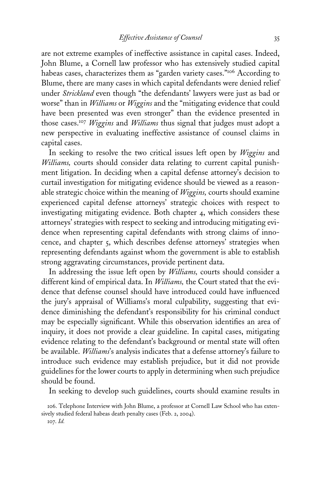are not extreme examples of ineffective assistance in capital cases. Indeed, John Blume, a Cornell law professor who has extensively studied capital habeas cases, characterizes them as "garden variety cases."<sup>106</sup> According to Blume, there are many cases in which capital defendants were denied relief under *Strickland* even though "the defendants' lawyers were just as bad or worse" than in *Williams* or *Wiggins* and the "mitigating evidence that could have been presented was even stronger" than the evidence presented in those cases.107 *Wiggins* and *Williams* thus signal that judges must adopt a new perspective in evaluating ineffective assistance of counsel claims in capital cases.

In seeking to resolve the two critical issues left open by *Wiggins* and *Williams,* courts should consider data relating to current capital punishment litigation. In deciding when a capital defense attorney's decision to curtail investigation for mitigating evidence should be viewed as a reasonable strategic choice within the meaning of *Wiggins,* courts should examine experienced capital defense attorneys' strategic choices with respect to investigating mitigating evidence. Both chapter 4, which considers these attorneys' strategies with respect to seeking and introducing mitigating evidence when representing capital defendants with strong claims of innocence, and chapter 5, which describes defense attorneys' strategies when representing defendants against whom the government is able to establish strong aggravating circumstances, provide pertinent data.

In addressing the issue left open by *Williams,* courts should consider a different kind of empirical data. In *Williams,* the Court stated that the evidence that defense counsel should have introduced could have influenced the jury's appraisal of Williams's moral culpability, suggesting that evidence diminishing the defendant's responsibility for his criminal conduct may be especially significant. While this observation identifies an area of inquiry, it does not provide a clear guideline. In capital cases, mitigating evidence relating to the defendant's background or mental state will often be available. *Williams*'s analysis indicates that a defense attorney's failure to introduce such evidence may establish prejudice, but it did not provide guidelines for the lower courts to apply in determining when such prejudice should be found.

In seeking to develop such guidelines, courts should examine results in

<sup>106.</sup> Telephone Interview with John Blume, a professor at Cornell Law School who has extensively studied federal habeas death penalty cases (Feb. 2, 2004).

<sup>107.</sup> *Id.*